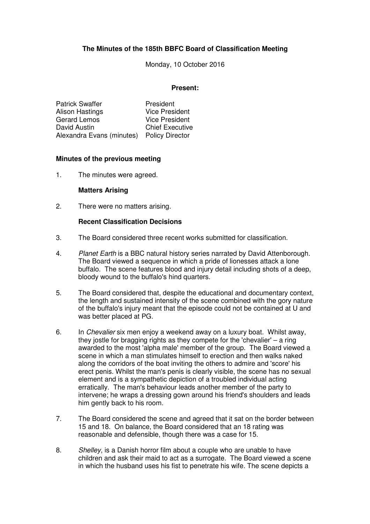# **The Minutes of the 185th BBFC Board of Classification Meeting**

Monday, 10 October 2016

#### **Present:**

| <b>Patrick Swaffer</b>    | President              |
|---------------------------|------------------------|
| Alison Hastings           | <b>Vice President</b>  |
| <b>Gerard Lemos</b>       | <b>Vice President</b>  |
| David Austin              | <b>Chief Executive</b> |
| Alexandra Evans (minutes) | <b>Policy Director</b> |

#### **Minutes of the previous meeting**

1. The minutes were agreed.

#### **Matters Arising**

2. There were no matters arising.

#### **Recent Classification Decisions**

- 3. The Board considered three recent works submitted for classification.
- 4. Planet Earth is a BBC natural history series narrated by David Attenborough. The Board viewed a sequence in which a pride of lionesses attack a lone buffalo. The scene features blood and injury detail including shots of a deep, bloody wound to the buffalo's hind quarters.
- 5. The Board considered that, despite the educational and documentary context, the length and sustained intensity of the scene combined with the gory nature of the buffalo's injury meant that the episode could not be contained at U and was better placed at PG.
- 6. In Chevalier six men enjoy a weekend away on a luxury boat. Whilst away, they jostle for bragging rights as they compete for the 'chevalier' – a ring awarded to the most 'alpha male' member of the group. The Board viewed a scene in which a man stimulates himself to erection and then walks naked along the corridors of the boat inviting the others to admire and 'score' his erect penis. Whilst the man's penis is clearly visible, the scene has no sexual element and is a sympathetic depiction of a troubled individual acting erratically. The man's behaviour leads another member of the party to intervene; he wraps a dressing gown around his friend's shoulders and leads him gently back to his room.
- 7. The Board considered the scene and agreed that it sat on the border between 15 and 18. On balance, the Board considered that an 18 rating was reasonable and defensible, though there was a case for 15.
- 8. Shelley, is a Danish horror film about a couple who are unable to have children and ask their maid to act as a surrogate. The Board viewed a scene in which the husband uses his fist to penetrate his wife. The scene depicts a